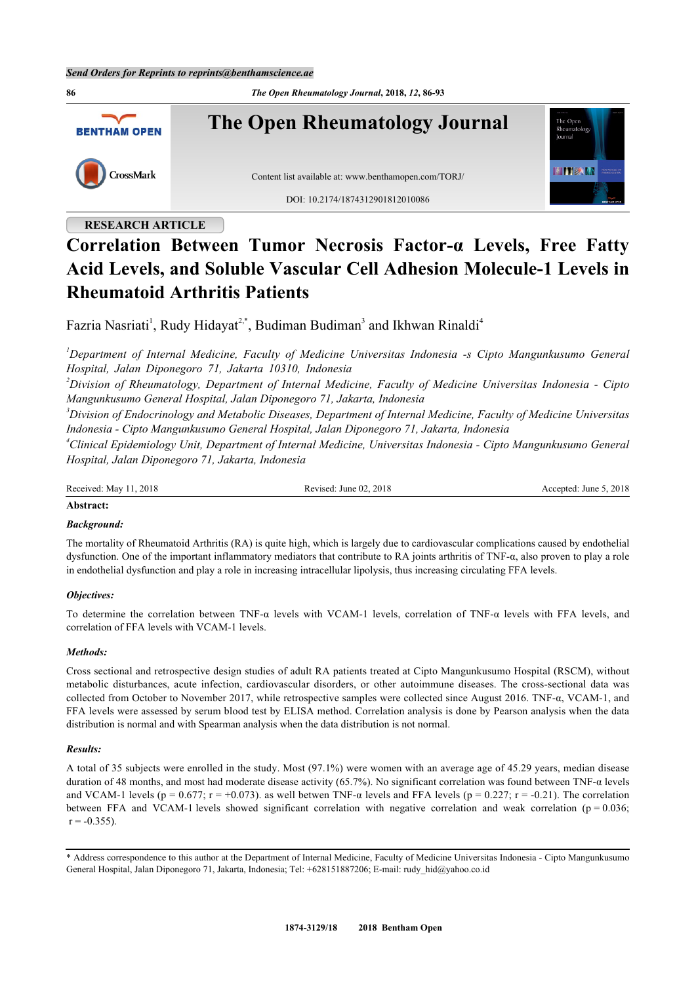**86** *The Open Rheumatology Journal***, 2018,** *12***, 86-93 The Open Rheumatology Journal** The Oper **BENTHAM OPEN HITERIA** CrossMark Content list available at: [www.benthamopen.com/TORJ/](http://www.benthamopen.com/TORJ/) DOI: [10.2174/1874312901812010086](http://dx.doi.org/10.2174/1874312901812010086)

# **RESEARCH ARTICLE**

# **Correlation Between Tumor Necrosis Factor-α Levels, Free Fatty Acid Levels, and Soluble Vascular Cell Adhesion Molecule-1 Levels in Rheumatoid Arthritis Patients**

Fazria Nasriati<sup>[1](#page-0-0)</sup>, Rudy Hidayat<sup>[2](#page-0-1),[\\*](#page-0-2)</sup>, Budiman Budiman<sup>[3](#page-0-3)</sup> and Ikhwan Rinaldi<sup>[4](#page-0-4)</sup>

<span id="page-0-0"></span>*<sup>1</sup>Department of Internal Medicine, Faculty of Medicine Universitas Indonesia -s Cipto Mangunkusumo General Hospital, Jalan Diponegoro 71, Jakarta 10310, Indonesia*

<span id="page-0-1"></span>*<sup>2</sup>Division of Rheumatology, Department of Internal Medicine, Faculty of Medicine Universitas Indonesia - Cipto Mangunkusumo General Hospital, Jalan Diponegoro 71, Jakarta, Indonesia*

<span id="page-0-3"></span>*<sup>3</sup>Division of Endocrinology and Metabolic Diseases, Department of Internal Medicine, Faculty of Medicine Universitas Indonesia - Cipto Mangunkusumo General Hospital, Jalan Diponegoro 71, Jakarta, Indonesia*

<span id="page-0-4"></span>*<sup>4</sup>Clinical Epidemiology Unit, Department of Internal Medicine, Universitas Indonesia - Cipto Mangunkusumo General Hospital, Jalan Diponegoro 71, Jakarta, Indonesia*

Received: May 11, 2018 Revised: June 02, 2018 Revised: June 02, 2018 Accepted: June 5, 2018

# **Abstract:**

# *Background:*

The mortality of Rheumatoid Arthritis (RA) is quite high, which is largely due to cardiovascular complications caused by endothelial dysfunction. One of the important inflammatory mediators that contribute to RA joints arthritis of TNF-α, also proven to play a role in endothelial dysfunction and play a role in increasing intracellular lipolysis, thus increasing circulating FFA levels.

# *Objectives:*

To determine the correlation between TNF-α levels with VCAM-1 levels, correlation of TNF-α levels with FFA levels, and correlation of FFA levels with VCAM-1 levels.

#### *Methods:*

Cross sectional and retrospective design studies of adult RA patients treated at Cipto Mangunkusumo Hospital (RSCM), without metabolic disturbances, acute infection, cardiovascular disorders, or other autoimmune diseases. The cross-sectional data was collected from October to November 2017, while retrospective samples were collected since August 2016. TNF-α, VCAM-1, and FFA levels were assessed by serum blood test by ELISA method. Correlation analysis is done by Pearson analysis when the data distribution is normal and with Spearman analysis when the data distribution is not normal.

#### *Results:*

A total of 35 subjects were enrolled in the study. Most (97.1%) were women with an average age of 45.29 years, median disease duration of 48 months, and most had moderate disease activity (65.7%). No significant correlation was found between TNF-α levels and VCAM-1 levels ( $p = 0.677$ ;  $r = +0.073$ ). as well betwen TNF- $\alpha$  levels and FFA levels ( $p = 0.227$ ;  $r = -0.21$ ). The correlation between FFA and VCAM-1 levels showed significant correlation with negative correlation and weak correlation ( $p = 0.036$ ;  $r = -0.355$ ).

<span id="page-0-2"></span><sup>\*</sup> Address correspondence to this author at the Department of Internal Medicine, Faculty of Medicine Universitas Indonesia - Cipto Mangunkusumo General Hospital, Jalan Diponegoro 71, Jakarta, Indonesia; Tel: +628151887206; E-mail: [rudy\\_hid@yahoo.co.id](mailto:rudy_hid@yahoo.co.id)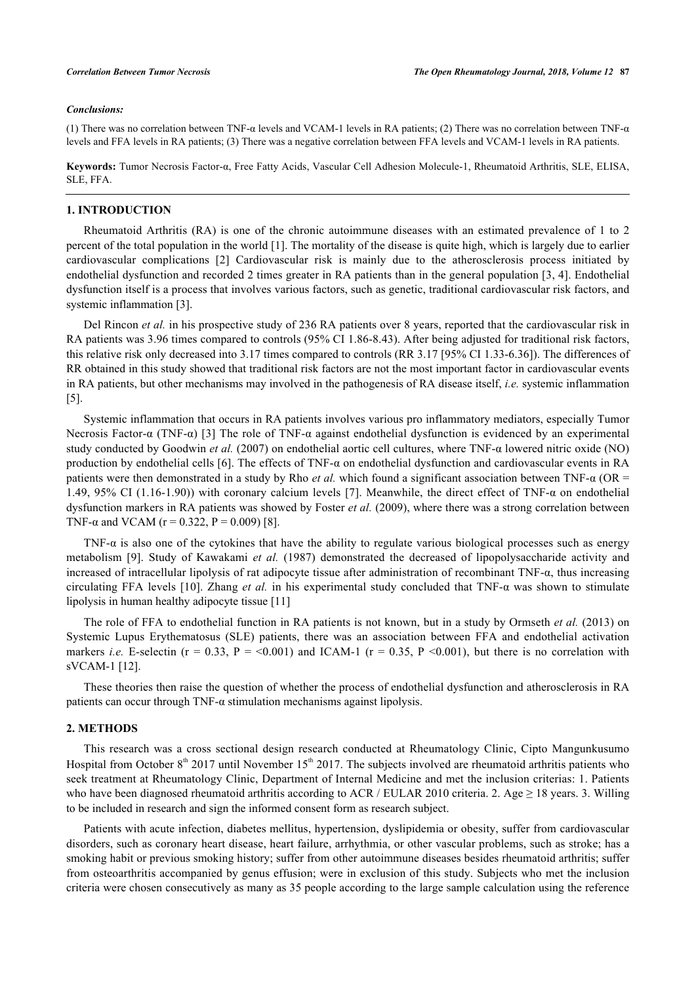#### *Conclusions:*

(1) There was no correlation between TNF-α levels and VCAM-1 levels in RA patients; (2) There was no correlation between TNF-α levels and FFA levels in RA patients; (3) There was a negative correlation between FFA levels and VCAM-1 levels in RA patients.

**Keywords:** Tumor Necrosis Factor-α, Free Fatty Acids, Vascular Cell Adhesion Molecule-1, Rheumatoid Arthritis, SLE, ELISA, SLE, FFA.

# **1. INTRODUCTION**

Rheumatoid Arthritis (RA) is one of the chronic autoimmune diseases with an estimated prevalence of 1 to 2 percent of the total population in the world [\[1](#page-6-0)]. The mortality of the disease is quite high, which is largely due to earlier cardiovascular complications[[2](#page-6-1)] Cardiovascular risk is mainly due to the atherosclerosis process initiated by endothelial dysfunction and recorded 2 times greater in RA patients than in the general population [\[3](#page-6-2), [4\]](#page-6-3). Endothelial dysfunction itself is a process that involves various factors, such as genetic, traditional cardiovascular risk factors, and systemic inflammation [[3\]](#page-6-2).

Del Rincon *et al.* in his prospective study of 236 RA patients over 8 years, reported that the cardiovascular risk in RA patients was 3.96 times compared to controls (95% CI 1.86-8.43). After being adjusted for traditional risk factors, this relative risk only decreased into 3.17 times compared to controls (RR 3.17 [95% CI 1.33-6.36]). The differences of RR obtained in this study showed that traditional risk factors are not the most important factor in cardiovascular events in RA patients, but other mechanisms may involved in the pathogenesis of RA disease itself, *i.e.* systemic inflammation [\[5](#page-7-0)].

Systemic inflammation that occurs in RA patients involves various pro inflammatory mediators, especially Tumor Necrosis Factor-α (TNF-α) [[3](#page-6-2)] The role of TNF-α against endothelial dysfunction is evidenced by an experimental study conducted by Goodwin *et al.* (2007) on endothelial aortic cell cultures, where TNF-α lowered nitric oxide (NO) production by endothelial cells [\[6\]](#page-7-1). The effects of TNF-α on endothelial dysfunction and cardiovascular events in RA patients were then demonstrated in a study by Rho *et al.* which found a significant association between TNF-α (OR = 1.49, 95% CI (1.16-1.90)) with coronary calcium levels [[7\]](#page-7-2). Meanwhile, the direct effect of TNF-α on endothelial dysfunction markers in RA patients was showed by Foster *et al.* (2009), where there was a strong correlation between TNF- $\alpha$  and VCAM (r = 0.322, P = 0.009) [[8\]](#page-7-3).

TNF-α is also one of the cytokines that have the ability to regulate various biological processes such as energy metabolism[[9](#page-7-4)]. Study of Kawakami *et al.* (1987) demonstrated the decreased of lipopolysaccharide activity and increased of intracellular lipolysis of rat adipocyte tissue after administration of recombinant TNF-α, thus increasing circulating FFA levels [[10\]](#page-7-5). Zhang *et al.* in his experimental study concluded that TNF-α was shown to stimulate lipolysis in human healthy adipocyte tissue [\[11](#page-7-6)]

The role of FFA to endothelial function in RA patients is not known, but in a study by Ormseth *et al.* (2013) on Systemic Lupus Erythematosus (SLE) patients, there was an association between FFA and endothelial activation markers *i.e.* E-selectin ( $r = 0.33$ ,  $P = 0.001$ ) and ICAM-1 ( $r = 0.35$ ,  $P \le 0.001$ ), but there is no correlation with sVCAM-1 [[12\]](#page-7-7).

These theories then raise the question of whether the process of endothelial dysfunction and atherosclerosis in RA patients can occur through TNF- $\alpha$  stimulation mechanisms against lipolysis.

### **2. METHODS**

This research was a cross sectional design research conducted at Rheumatology Clinic, Cipto Mangunkusumo Hospital from October 8<sup>th</sup> 2017 until November 15<sup>th</sup> 2017. The subjects involved are rheumatoid arthritis patients who seek treatment at Rheumatology Clinic, Department of Internal Medicine and met the inclusion criterias: 1. Patients who have been diagnosed rheumatoid arthritis according to ACR / EULAR 2010 criteria. 2. Age  $\geq$  18 years. 3. Willing to be included in research and sign the informed consent form as research subject.

Patients with acute infection, diabetes mellitus, hypertension, dyslipidemia or obesity, suffer from cardiovascular disorders, such as coronary heart disease, heart failure, arrhythmia, or other vascular problems, such as stroke; has a smoking habit or previous smoking history; suffer from other autoimmune diseases besides rheumatoid arthritis; suffer from osteoarthritis accompanied by genus effusion; were in exclusion of this study. Subjects who met the inclusion criteria were chosen consecutively as many as 35 people according to the large sample calculation using the reference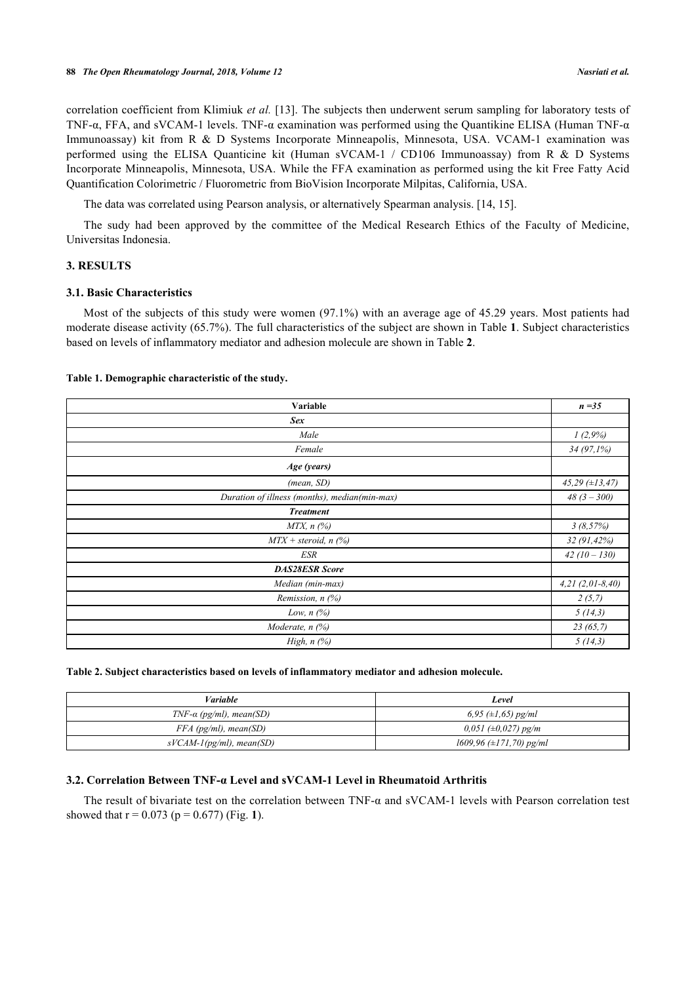correlation coefficient from Klimiuk *et al.* [[13\]](#page-7-8). The subjects then underwent serum sampling for laboratory tests of TNF-α, FFA, and sVCAM-1 levels. TNF-α examination was performed using the Quantikine ELISA (Human TNF-α Immunoassay) kit from R & D Systems Incorporate Minneapolis, Minnesota, USA. VCAM-1 examination was performed using the ELISA Quanticine kit (Human sVCAM-1 / CD106 Immunoassay) from R & D Systems Incorporate Minneapolis, Minnesota, USA. While the FFA examination as performed using the kit Free Fatty Acid Quantification Colorimetric / Fluorometric from BioVision Incorporate Milpitas, California, USA.

The data was correlated using Pearson analysis, or alternatively Spearman analysis. [\[14](#page-7-9), [15](#page-7-10)].

The sudy had been approved by the committee of the Medical Research Ethics of the Faculty of Medicine, Universitas Indonesia.

# **3. RESULTS**

# **3.1. Basic Characteristics**

Most of the subjects of this study were women (97.1%) with an average age of 45.29 years. Most patients had moderate disease activity (65.7%). The full characteristics of the subject are shown in Table **[1](#page-2-0)**. Subject characteristics based on levels of inflammatory mediator and adhesion molecule are shown in Table **[2](#page-2-1)**.

#### <span id="page-2-0"></span>**Table 1. Demographic characteristic of the study.**

| Variable                                      |  |  |  |  |  |
|-----------------------------------------------|--|--|--|--|--|
| <b>Sex</b>                                    |  |  |  |  |  |
| Male                                          |  |  |  |  |  |
| Female                                        |  |  |  |  |  |
| Age (years)                                   |  |  |  |  |  |
| (mean, SD)                                    |  |  |  |  |  |
| Duration of illness (months), median(min-max) |  |  |  |  |  |
| <b>Treatment</b>                              |  |  |  |  |  |
| $MTX$ , n $(%)$                               |  |  |  |  |  |
| $MTX + steroid, n$ (%)                        |  |  |  |  |  |
| <b>ESR</b>                                    |  |  |  |  |  |
| <b>DAS28ESR Score</b>                         |  |  |  |  |  |
| Median (min-max)                              |  |  |  |  |  |
| Remission, $n$ (%)                            |  |  |  |  |  |
| Low, $n$ $(\%)$                               |  |  |  |  |  |
| Moderate, n (%)                               |  |  |  |  |  |
| High, $n$ $(\%)$                              |  |  |  |  |  |

<span id="page-2-1"></span>

|  |  | Table 2. Subject characteristics based on levels of inflammatory mediator and adhesion molecule. |  |  |
|--|--|--------------------------------------------------------------------------------------------------|--|--|
|  |  |                                                                                                  |  |  |

| <i>Variable</i>                | Level                          |  |  |  |
|--------------------------------|--------------------------------|--|--|--|
| $TNF-\alpha$ (pg/ml), mean(SD) | 6,95 $(\pm 1, 65)$ pg/ml       |  |  |  |
| $FFA$ (pg/ml), mean(SD)        | $0.051$ ( $\pm 0.027$ ) pg/m   |  |  |  |
| $sVCAM-1(pg/ml)$ , mean(SD)    | $1609,96 \ (\pm 171,70)$ pg/ml |  |  |  |

# **3.2. Correlation Between TNF-α Level and sVCAM-1 Level in Rheumatoid Arthritis**

<span id="page-2-2"></span>The result of bivariate test on the correlation between TNF- $\alpha$  and sVCAM-1 levels with Pearson correlation test showed that  $r = 0.073$  ( $p = 0.677$ ) (Fig. [1](#page-2-2)).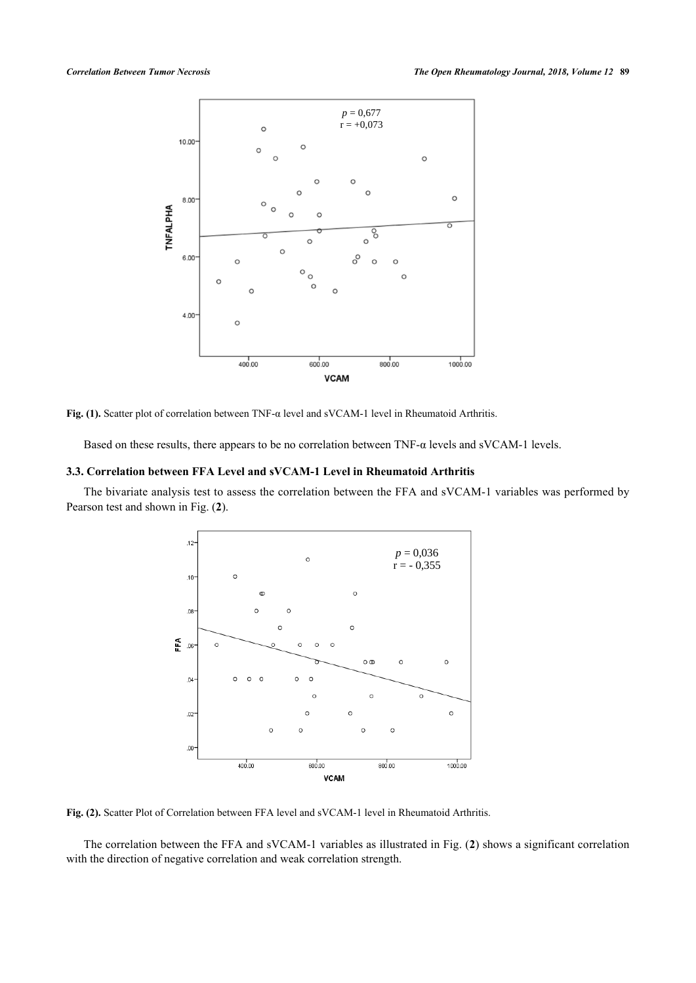

**Fig. (1).** Scatter plot of correlation between TNF-α level and sVCAM-1 level in Rheumatoid Arthritis.

Based on these results, there appears to be no correlation between  $TNF-\alpha$  levels and sVCAM-1 levels.

#### **3.3. Correlation between FFA Level and sVCAM-1 Level in Rheumatoid Arthritis**

<span id="page-3-0"></span>The bivariate analysis test to assess the correlation between the FFA and sVCAM-1 variables was performed by Pearson test and shown in Fig. (**[2](#page-3-0)**).



**Fig. (2).** Scatter Plot of Correlation between FFA level and sVCAM-1 level in Rheumatoid Arthritis.

The correlation between the FFA and sVCAM-1 variables as illustrated in Fig. (**[2](#page-3-0)**) shows a significant correlation with the direction of negative correlation and weak correlation strength.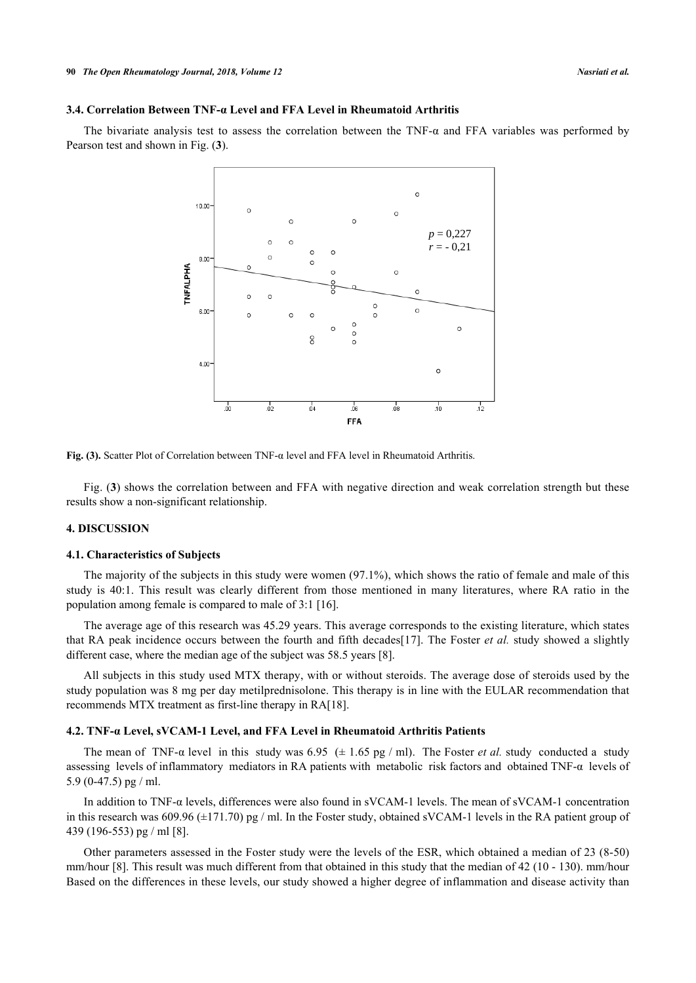#### **3.4. Correlation Between TNF-α Level and FFA Level in Rheumatoid Arthritis**

<span id="page-4-0"></span>The bivariate analysis test to assess the correlation between the TNF- $\alpha$  and FFA variables was performed by Pearson test and shown in Fig. (**[3](#page-4-0)**).





Fig. (**[3](#page-4-0)**) shows the correlation between and FFA with negative direction and weak correlation strength but these results show a non-significant relationship.

# **4. DISCUSSION**

#### **4.1. Characteristics of Subjects**

The majority of the subjects in this study were women (97.1%), which shows the ratio of female and male of this study is 40:1. This result was clearly different from those mentioned in many literatures, where RA ratio in the population among female is compared to male of 3:1 [\[16](#page-7-11)].

The average age of this research was 45.29 years. This average corresponds to the existing literature, which states that RA peak incidence occurs between the fourth and fifth decades[\[17](#page-7-12)]. The Foster *et al.* study showed a slightly different case, where the median age of the subject was 58.5 years [\[8](#page-7-3)].

All subjects in this study used MTX therapy, with or without steroids. The average dose of steroids used by the study population was 8 mg per day metilprednisolone. This therapy is in line with the EULAR recommendation that recommends MTX treatment as first-line therapy in RA[\[18](#page-7-13)].

#### **4.2. TNF-α Level, sVCAM-1 Level, and FFA Level in Rheumatoid Arthritis Patients**

The mean of TNF- $\alpha$  level in this study was 6.95 ( $\pm$  1.65 pg / ml). The Foster *et al.* study conducted a study assessing levels of inflammatory mediators in RA patients with metabolic risk factors and obtained TNF-α levels of 5.9 (0-47.5) pg / ml.

In addition to TNF-α levels, differences were also found in sVCAM-1 levels. The mean of sVCAM-1 concentration in this research was 609.96 ( $\pm$ 171.70) pg / ml. In the Foster study, obtained sVCAM-1 levels in the RA patient group of 439 (196-553) pg / ml [[8\]](#page-7-3).

Other parameters assessed in the Foster study were the levels of the ESR, which obtained a median of 23 (8-50) mm/hour [\[8\]](#page-7-3). This result was much different from that obtained in this study that the median of 42 (10 - 130). mm/hour Based on the differences in these levels, our study showed a higher degree of inflammation and disease activity than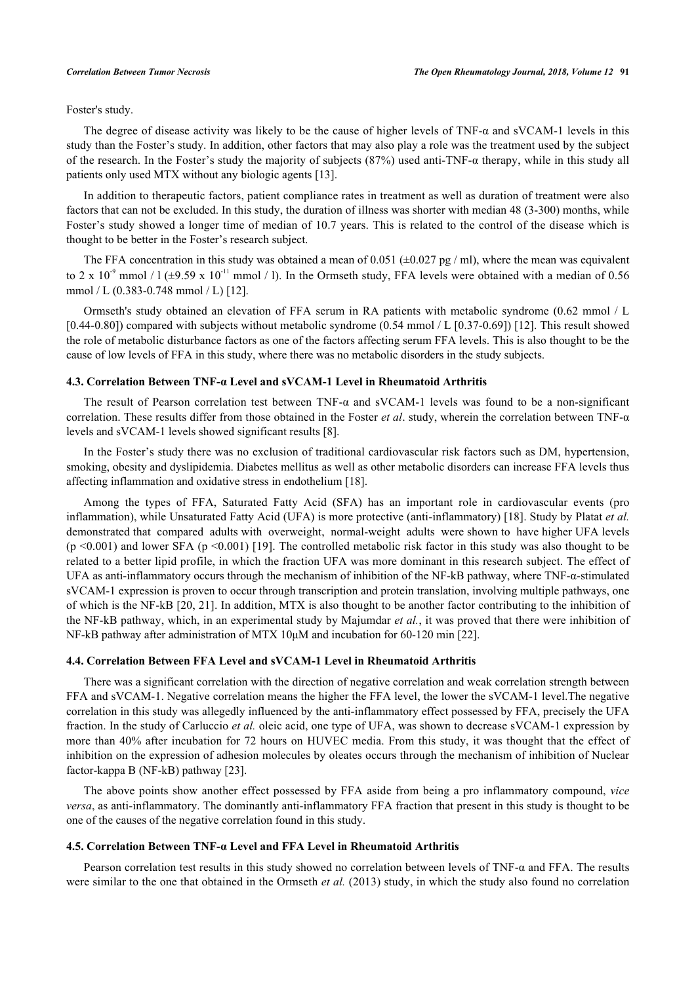Foster's study.

The degree of disease activity was likely to be the cause of higher levels of TNF- $\alpha$  and sVCAM-1 levels in this study than the Foster's study. In addition, other factors that may also play a role was the treatment used by the subject of the research. In the Foster's study the majority of subjects (87%) used anti-TNF- $\alpha$  therapy, while in this study all patients only used MTX without any biologic agents [[13\]](#page-7-8).

In addition to therapeutic factors, patient compliance rates in treatment as well as duration of treatment were also factors that can not be excluded. In this study, the duration of illness was shorter with median 48 (3-300) months, while Foster's study showed a longer time of median of 10.7 years. This is related to the control of the disease which is thought to be better in the Foster's research subject.

The FFA concentration in this study was obtained a mean of 0.051 (±0.027 pg / ml), where the mean was equivalent to 2 x 10<sup>-9</sup> mmol / l ( $\pm$ 9.59 x 10<sup>-11</sup> mmol / l). In the Ormseth study, FFA levels were obtained with a median of 0.56 mmol / L (0.383-0.748 mmol / L) [[12\]](#page-7-7).

Ormseth's study obtained an elevation of FFA serum in RA patients with metabolic syndrome (0.62 mmol / L [0.44-0.80]) compared with subjects without metabolic syndrome (0.54 mmol / L [0.37-0.69]) [[12\]](#page-7-7). This result showed the role of metabolic disturbance factors as one of the factors affecting serum FFA levels. This is also thought to be the cause of low levels of FFA in this study, where there was no metabolic disorders in the study subjects.

#### **4.3. Correlation Between TNF-α Level and sVCAM-1 Level in Rheumatoid Arthritis**

The result of Pearson correlation test between TNF-α and sVCAM-1 levels was found to be a non-significant correlation. These results differ from those obtained in the Foster *et al*. study, wherein the correlation between TNF-α levels and sVCAM-1 levels showed significant results [[8\]](#page-7-3).

In the Foster's study there was no exclusion of traditional cardiovascular risk factors such as DM, hypertension, smoking, obesity and dyslipidemia. Diabetes mellitus as well as other metabolic disorders can increase FFA levels thus affecting inflammation and oxidative stress in endothelium [[18\]](#page-7-13).

Among the types of FFA, Saturated Fatty Acid (SFA) has an important role in cardiovascular events (pro inflammation), while Unsaturated Fatty Acid (UFA) is more protective (anti-inflammatory) [[18\]](#page-7-13). Study by Platat *et al.* demonstrated that compared adults with overweight, normal-weight adults were shown to have higher UFA levels  $(p \le 0.001)$  and lower SFA  $(p \le 0.001)$  [[19\]](#page-7-14). The controlled metabolic risk factor in this study was also thought to be related to a better lipid profile, in which the fraction UFA was more dominant in this research subject. The effect of UFA as anti-inflammatory occurs through the mechanism of inhibition of the NF-kB pathway, where TNF-α-stimulated sVCAM-1 expression is proven to occur through transcription and protein translation, involving multiple pathways, one of which is the NF-kB [[20,](#page-7-15) [21](#page-7-16)]. In addition, MTX is also thought to be another factor contributing to the inhibition of the NF-kB pathway, which, in an experimental study by Majumdar *et al.*, it was proved that there were inhibition of NF-kB pathway after administration of MTX 10μΜ and incubation for 60-120 min [[22\]](#page-7-17).

#### **4.4. Correlation Between FFA Level and sVCAM-1 Level in Rheumatoid Arthritis**

There was a significant correlation with the direction of negative correlation and weak correlation strength between FFA and sVCAM-1. Negative correlation means the higher the FFA level, the lower the sVCAM-1 level.The negative correlation in this study was allegedly influenced by the anti-inflammatory effect possessed by FFA, precisely the UFA fraction. In the study of Carluccio *et al.* oleic acid, one type of UFA, was shown to decrease sVCAM-1 expression by more than 40% after incubation for 72 hours on HUVEC media. From this study, it was thought that the effect of inhibition on the expression of adhesion molecules by oleates occurs through the mechanism of inhibition of Nuclear factor-kappa B (NF-kB) pathway [[23\]](#page-7-18).

The above points show another effect possessed by FFA aside from being a pro inflammatory compound, *vice versa*, as anti-inflammatory. The dominantly anti-inflammatory FFA fraction that present in this study is thought to be one of the causes of the negative correlation found in this study.

#### **4.5. Correlation Between TNF-α Level and FFA Level in Rheumatoid Arthritis**

Pearson correlation test results in this study showed no correlation between levels of TNF- $\alpha$  and FFA. The results were similar to the one that obtained in the Ormseth *et al.* (2013) study, in which the study also found no correlation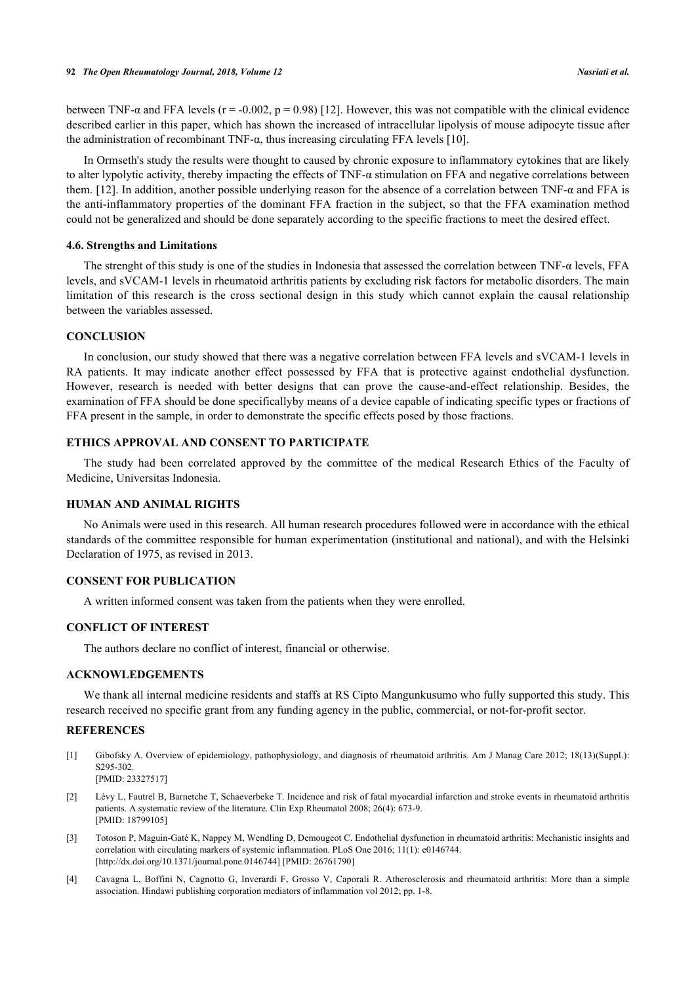between TNF- $\alpha$  and FFA levels (r = -0.002, p = 0.98) [[12\]](#page-7-7). However, this was not compatible with the clinical evidence described earlier in this paper, which has shown the increased of intracellular lipolysis of mouse adipocyte tissue after the administration of recombinant TNF- $α$ , thus increasing circulating FFA levels [[10\]](#page-7-5).

In Ormseth's study the results were thought to caused by chronic exposure to inflammatory cytokines that are likely to alter lypolytic activity, thereby impacting the effects of TNF- $\alpha$  stimulation on FFA and negative correlations between them. [\[12\]](#page-7-7). In addition, another possible underlying reason for the absence of a correlation between TNF- $\alpha$  and FFA is the anti-inflammatory properties of the dominant FFA fraction in the subject, so that the FFA examination method could not be generalized and should be done separately according to the specific fractions to meet the desired effect.

#### **4.6. Strengths and Limitations**

The strenght of this study is one of the studies in Indonesia that assessed the correlation between TNF-α levels, FFA levels, and sVCAM-1 levels in rheumatoid arthritis patients by excluding risk factors for metabolic disorders. The main limitation of this research is the cross sectional design in this study which cannot explain the causal relationship between the variables assessed.

#### **CONCLUSION**

In conclusion, our study showed that there was a negative correlation between FFA levels and sVCAM-1 levels in RA patients. It may indicate another effect possessed by FFA that is protective against endothelial dysfunction. However, research is needed with better designs that can prove the cause-and-effect relationship. Besides, the examination of FFA should be done specificallyby means of a device capable of indicating specific types or fractions of FFA present in the sample, in order to demonstrate the specific effects posed by those fractions.

# **ETHICS APPROVAL AND CONSENT TO PARTICIPATE**

The study had been correlated approved by the committee of the medical Research Ethics of the Faculty of Medicine, Universitas Indonesia.

### **HUMAN AND ANIMAL RIGHTS**

No Animals were used in this research. All human research procedures followed were in accordance with the ethical standards of the committee responsible for human experimentation (institutional and national), and with the Helsinki Declaration of 1975, as revised in 2013.

# **CONSENT FOR PUBLICATION**

A written informed consent was taken from the patients when they were enrolled.

### **CONFLICT OF INTEREST**

The authors declare no conflict of interest, financial or otherwise.

#### **ACKNOWLEDGEMENTS**

We thank all internal medicine residents and staffs at RS Cipto Mangunkusumo who fully supported this study. This research received no specific grant from any funding agency in the public, commercial, or not-for-profit sector.

#### **REFERENCES**

- <span id="page-6-0"></span>[1] Gibofsky A. Overview of epidemiology, pathophysiology, and diagnosis of rheumatoid arthritis. Am J Manag Care 2012; 18(13)(Suppl.): S295-302. [PMID: [23327517\]](http://www.ncbi.nlm.nih.gov/pubmed/23327517)
- <span id="page-6-1"></span>[2] Lévy L, Fautrel B, Barnetche T, Schaeverbeke T. Incidence and risk of fatal myocardial infarction and stroke events in rheumatoid arthritis patients. A systematic review of the literature. Clin Exp Rheumatol 2008; 26(4): 673-9. [PMID: [18799105\]](http://www.ncbi.nlm.nih.gov/pubmed/18799105)
- <span id="page-6-2"></span>[3] Totoson P, Maguin-Gaté K, Nappey M, Wendling D, Demougeot C. Endothelial dysfunction in rheumatoid arthritis: Mechanistic insights and correlation with circulating markers of systemic inflammation. PLoS One 2016; 11(1): e0146744. [\[http://dx.doi.org/10.1371/journal.pone.0146744](http://dx.doi.org/10.1371/journal.pone.0146744)] [PMID: [26761790\]](http://www.ncbi.nlm.nih.gov/pubmed/26761790)
- <span id="page-6-3"></span>[4] Cavagna L, Boffini N, Cagnotto G, Inverardi F, Grosso V, Caporali R. Atherosclerosis and rheumatoid arthritis: More than a simple association. Hindawi publishing corporation mediators of inflammation vol 2012; pp. 1-8.